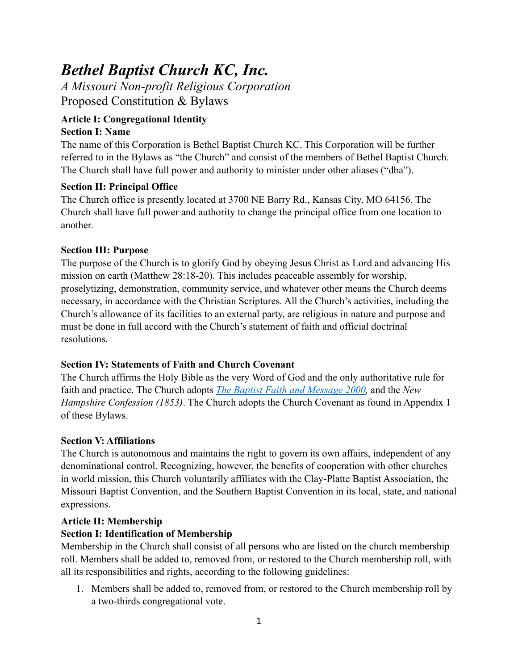# *Bethel Baptist Church KC, Inc.*

*A Missouri Non-profit Religious Corporation*  Proposed Constitution & Bylaws

#### **Article I: Congregational Identity Section I: Name**

The name of this Corporation is Bethel Baptist Church KC. This Corporation will be further referred to in the Bylaws as "the Church" and consist of the members of Bethel Baptist Church. The Church shall have full power and authority to minister under other aliases ("dba").

# **Section II: Principal Office**

The Church office is presently located at 3700 NE Barry Rd., Kansas City, MO 64156. The Church shall have full power and authority to change the principal office from one location to another.

# **Section III: Purpose**

The purpose of the Church is to glorify God by obeying Jesus Christ as Lord and advancing His mission on earth (Matthew 28:18-20). This includes peaceable assembly for worship, proselytizing, demonstration, community service, and whatever other means the Church deems necessary, in accordance with the Christian Scriptures. All the Church's activities, including the Church's allowance of its facilities to an external party, are religious in nature and purpose and must be done in full accord with the Church's statement of faith and official doctrinal resolutions.

# **Section IV: Statements of Faith and Church Covenant**

The Church affirms the Holy Bible as the very Word of God and the only authoritative rule for faith and practice. The Church adopts *[The Baptist Faith and Message 2000](https://bfm.sbc.net/bfm2000/),* and the *New Hampshire Confession (1853)*. The Church adopts the Church Covenant as found in Appendix 1 of these Bylaws.

# **Section V: Affiliations**

The Church is autonomous and maintains the right to govern its own affairs, independent of any denominational control. Recognizing, however, the benefits of cooperation with other churches in world mission, this Church voluntarily affiliates with the Clay-Platte Baptist Association, the Missouri Baptist Convention, and the Southern Baptist Convention in its local, state, and national expressions.

# **Article II: Membership**

# **Section I: Identification of Membership**

Membership in the Church shall consist of all persons who are listed on the church membership roll. Members shall be added to, removed from, or restored to the Church membership roll, with all its responsibilities and rights, according to the following guidelines:

1. Members shall be added to, removed from, or restored to the Church membership roll by a two-thirds congregational vote.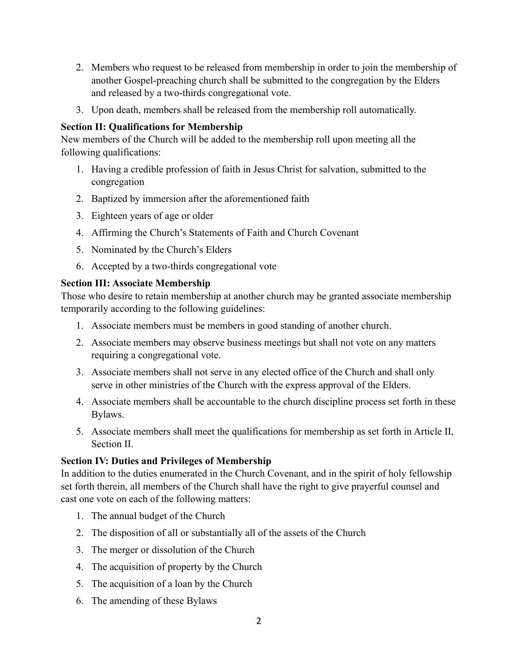- 2. Members who request to be released from membership in order to join the membership of another Gospel-preaching church shall be submitted to the congregation by the Elders and released by a two-thirds congregational vote.
- 3. Upon death, members shall be released from the membership roll automatically.

#### **Section II: Qualifications for Membership**

New members of the Church will be added to the membership roll upon meeting all the following qualifications:

- 1. Having a credible profession of faith in Jesus Christ for salvation, submitted to the congregation
- 2. Baptized by immersion after the aforementioned faith
- 3. Eighteen years of age or older
- 4. Affirming the Church's Statements of Faith and Church Covenant
- 5. Nominated by the Church's Elders
- 6. Accepted by a two-thirds congregational vote

# **Section III: Associate Membership**

Those who desire to retain membership at another church may be granted associate membership temporarily according to the following guidelines:

- 1. Associate members must be members in good standing of another church.
- 2. Associate members may observe business meetings but shall not vote on any matters requiring a congregational vote.
- 3. Associate members shall not serve in any elected office of the Church and shall only serve in other ministries of the Church with the express approval of the Elders.
- 4. Associate members shall be accountable to the church discipline process set forth in these Bylaws.
- 5. Associate members shall meet the qualifications for membership as set forth in Article II, Section II.

# **Section IV: Duties and Privileges of Membership**

In addition to the duties enumerated in the Church Covenant, and in the spirit of holy fellowship set forth therein, all members of the Church shall have the right to give prayerful counsel and cast one vote on each of the following matters:

- 1. The annual budget of the Church
- 2. The disposition of all or substantially all of the assets of the Church
- 3. The merger or dissolution of the Church
- 4. The acquisition of property by the Church
- 5. The acquisition of a loan by the Church
- 6. The amending of these Bylaws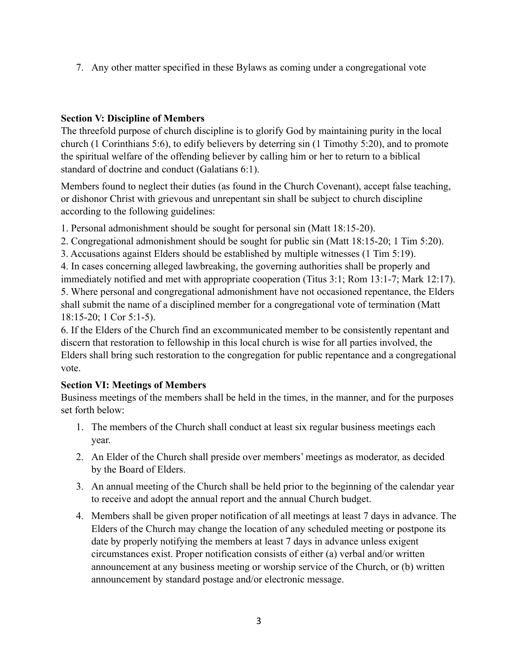7. Any other matter specified in these Bylaws as coming under a congregational vote

#### **Section V: Discipline of Members**

The threefold purpose of church discipline is to glorify God by maintaining purity in the local church (1 Corinthians 5:6), to edify believers by deterring sin (1 Timothy 5:20), and to promote the spiritual welfare of the offending believer by calling him or her to return to a biblical standard of doctrine and conduct (Galatians 6:1).

Members found to neglect their duties (as found in the Church Covenant), accept false teaching, or dishonor Christ with grievous and unrepentant sin shall be subject to church discipline according to the following guidelines:

1. Personal admonishment should be sought for personal sin (Matt 18:15-20).

2. Congregational admonishment should be sought for public sin (Matt 18:15-20; 1 Tim 5:20).

3. Accusations against Elders should be established by multiple witnesses (1 Tim 5:19).

4. In cases concerning alleged lawbreaking, the governing authorities shall be properly and immediately notified and met with appropriate cooperation (Titus 3:1; Rom 13:1-7; Mark 12:17). 5. Where personal and congregational admonishment have not occasioned repentance, the Elders shall submit the name of a disciplined member for a congregational vote of termination (Matt

18:15-20; 1 Cor 5:1-5).

6. If the Elders of the Church find an excommunicated member to be consistently repentant and discern that restoration to fellowship in this local church is wise for all parties involved, the Elders shall bring such restoration to the congregation for public repentance and a congregational vote.

# **Section VI: Meetings of Members**

Business meetings of the members shall be held in the times, in the manner, and for the purposes set forth below:

- 1. The members of the Church shall conduct at least six regular business meetings each year.
- 2. An Elder of the Church shall preside over members' meetings as moderator, as decided by the Board of Elders.
- 3. An annual meeting of the Church shall be held prior to the beginning of the calendar year to receive and adopt the annual report and the annual Church budget.
- 4. Members shall be given proper notification of all meetings at least 7 days in advance. The Elders of the Church may change the location of any scheduled meeting or postpone its date by properly notifying the members at least 7 days in advance unless exigent circumstances exist. Proper notification consists of either (a) verbal and/or written announcement at any business meeting or worship service of the Church, or (b) written announcement by standard postage and/or electronic message.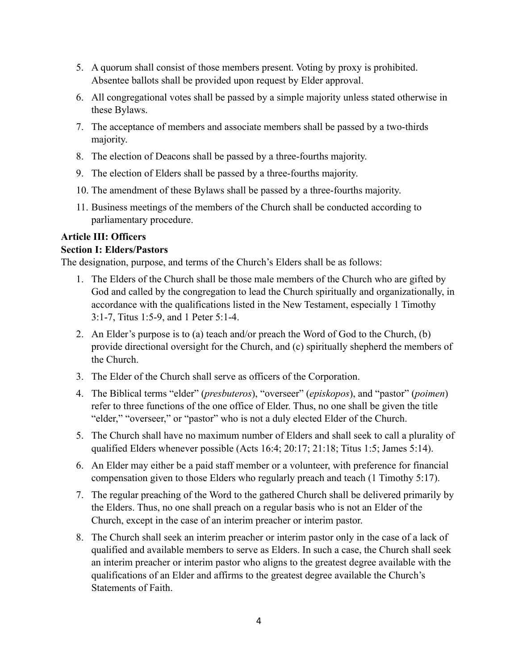- 5. A quorum shall consist of those members present. Voting by proxy is prohibited. Absentee ballots shall be provided upon request by Elder approval.
- 6. All congregational votes shall be passed by a simple majority unless stated otherwise in these Bylaws.
- 7. The acceptance of members and associate members shall be passed by a two-thirds majority.
- 8. The election of Deacons shall be passed by a three-fourths majority.
- 9. The election of Elders shall be passed by a three-fourths majority.
- 10. The amendment of these Bylaws shall be passed by a three-fourths majority.
- 11. Business meetings of the members of the Church shall be conducted according to parliamentary procedure.

#### **Article III: Officers**

#### **Section I: Elders/Pastors**

The designation, purpose, and terms of the Church's Elders shall be as follows:

- 1. The Elders of the Church shall be those male members of the Church who are gifted by God and called by the congregation to lead the Church spiritually and organizationally, in accordance with the qualifications listed in the New Testament, especially 1 Timothy 3:1-7, Titus 1:5-9, and 1 Peter 5:1-4.
- 2. An Elder's purpose is to (a) teach and/or preach the Word of God to the Church, (b) provide directional oversight for the Church, and (c) spiritually shepherd the members of the Church.
- 3. The Elder of the Church shall serve as officers of the Corporation.
- 4. The Biblical terms "elder" (*presbuteros*), "overseer" (*episkopos*), and "pastor" (*poimen*) refer to three functions of the one office of Elder. Thus, no one shall be given the title "elder," "overseer," or "pastor" who is not a duly elected Elder of the Church.
- 5. The Church shall have no maximum number of Elders and shall seek to call a plurality of qualified Elders whenever possible (Acts 16:4; 20:17; 21:18; Titus 1:5; James 5:14).
- 6. An Elder may either be a paid staff member or a volunteer, with preference for financial compensation given to those Elders who regularly preach and teach (1 Timothy 5:17).
- 7. The regular preaching of the Word to the gathered Church shall be delivered primarily by the Elders. Thus, no one shall preach on a regular basis who is not an Elder of the Church, except in the case of an interim preacher or interim pastor.
- 8. The Church shall seek an interim preacher or interim pastor only in the case of a lack of qualified and available members to serve as Elders. In such a case, the Church shall seek an interim preacher or interim pastor who aligns to the greatest degree available with the qualifications of an Elder and affirms to the greatest degree available the Church's Statements of Faith.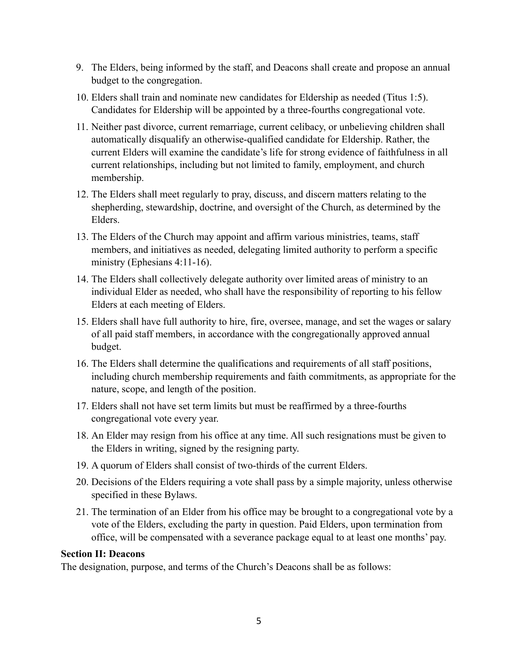- 9. The Elders, being informed by the staff, and Deacons shall create and propose an annual budget to the congregation.
- 10. Elders shall train and nominate new candidates for Eldership as needed (Titus 1:5). Candidates for Eldership will be appointed by a three-fourths congregational vote.
- 11. Neither past divorce, current remarriage, current celibacy, or unbelieving children shall automatically disqualify an otherwise-qualified candidate for Eldership. Rather, the current Elders will examine the candidate's life for strong evidence of faithfulness in all current relationships, including but not limited to family, employment, and church membership.
- 12. The Elders shall meet regularly to pray, discuss, and discern matters relating to the shepherding, stewardship, doctrine, and oversight of the Church, as determined by the Elders.
- 13. The Elders of the Church may appoint and affirm various ministries, teams, staff members, and initiatives as needed, delegating limited authority to perform a specific ministry (Ephesians 4:11-16).
- 14. The Elders shall collectively delegate authority over limited areas of ministry to an individual Elder as needed, who shall have the responsibility of reporting to his fellow Elders at each meeting of Elders.
- 15. Elders shall have full authority to hire, fire, oversee, manage, and set the wages or salary of all paid staff members, in accordance with the congregationally approved annual budget.
- 16. The Elders shall determine the qualifications and requirements of all staff positions, including church membership requirements and faith commitments, as appropriate for the nature, scope, and length of the position.
- 17. Elders shall not have set term limits but must be reaffirmed by a three-fourths congregational vote every year.
- 18. An Elder may resign from his office at any time. All such resignations must be given to the Elders in writing, signed by the resigning party.
- 19. A quorum of Elders shall consist of two-thirds of the current Elders.
- 20. Decisions of the Elders requiring a vote shall pass by a simple majority, unless otherwise specified in these Bylaws.
- 21. The termination of an Elder from his office may be brought to a congregational vote by a vote of the Elders, excluding the party in question. Paid Elders, upon termination from office, will be compensated with a severance package equal to at least one months' pay.

#### **Section II: Deacons**

The designation, purpose, and terms of the Church's Deacons shall be as follows: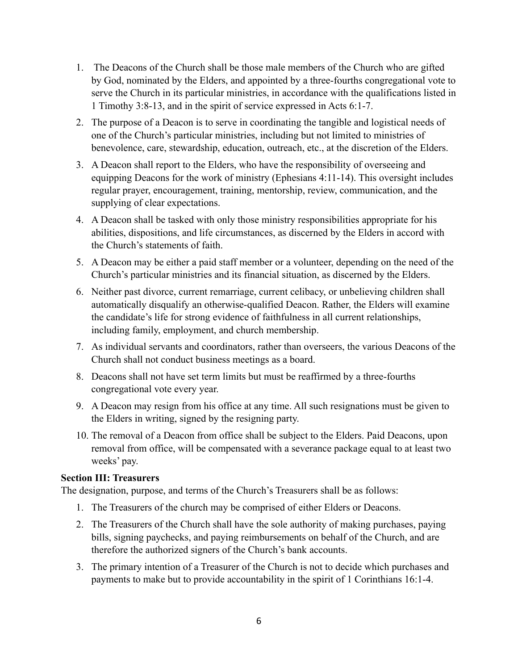- 1. The Deacons of the Church shall be those male members of the Church who are gifted by God, nominated by the Elders, and appointed by a three-fourths congregational vote to serve the Church in its particular ministries, in accordance with the qualifications listed in 1 Timothy 3:8-13, and in the spirit of service expressed in Acts 6:1-7.
- 2. The purpose of a Deacon is to serve in coordinating the tangible and logistical needs of one of the Church's particular ministries, including but not limited to ministries of benevolence, care, stewardship, education, outreach, etc., at the discretion of the Elders.
- 3. A Deacon shall report to the Elders, who have the responsibility of overseeing and equipping Deacons for the work of ministry (Ephesians 4:11-14). This oversight includes regular prayer, encouragement, training, mentorship, review, communication, and the supplying of clear expectations.
- 4. A Deacon shall be tasked with only those ministry responsibilities appropriate for his abilities, dispositions, and life circumstances, as discerned by the Elders in accord with the Church's statements of faith.
- 5. A Deacon may be either a paid staff member or a volunteer, depending on the need of the Church's particular ministries and its financial situation, as discerned by the Elders.
- 6. Neither past divorce, current remarriage, current celibacy, or unbelieving children shall automatically disqualify an otherwise-qualified Deacon. Rather, the Elders will examine the candidate's life for strong evidence of faithfulness in all current relationships, including family, employment, and church membership.
- 7. As individual servants and coordinators, rather than overseers, the various Deacons of the Church shall not conduct business meetings as a board.
- 8. Deacons shall not have set term limits but must be reaffirmed by a three-fourths congregational vote every year.
- 9. A Deacon may resign from his office at any time. All such resignations must be given to the Elders in writing, signed by the resigning party.
- 10. The removal of a Deacon from office shall be subject to the Elders. Paid Deacons, upon removal from office, will be compensated with a severance package equal to at least two weeks' pay.

#### **Section III: Treasurers**

The designation, purpose, and terms of the Church's Treasurers shall be as follows:

- 1. The Treasurers of the church may be comprised of either Elders or Deacons.
- 2. The Treasurers of the Church shall have the sole authority of making purchases, paying bills, signing paychecks, and paying reimbursements on behalf of the Church, and are therefore the authorized signers of the Church's bank accounts.
- 3. The primary intention of a Treasurer of the Church is not to decide which purchases and payments to make but to provide accountability in the spirit of 1 Corinthians 16:1-4.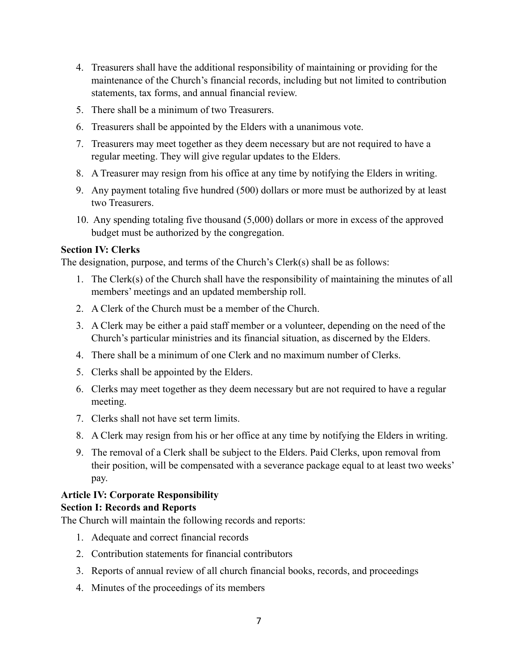- 4. Treasurers shall have the additional responsibility of maintaining or providing for the maintenance of the Church's financial records, including but not limited to contribution statements, tax forms, and annual financial review.
- 5. There shall be a minimum of two Treasurers.
- 6. Treasurers shall be appointed by the Elders with a unanimous vote.
- 7. Treasurers may meet together as they deem necessary but are not required to have a regular meeting. They will give regular updates to the Elders.
- 8. A Treasurer may resign from his office at any time by notifying the Elders in writing.
- 9. Any payment totaling five hundred (500) dollars or more must be authorized by at least two Treasurers.
- 10. Any spending totaling five thousand (5,000) dollars or more in excess of the approved budget must be authorized by the congregation.

#### **Section IV: Clerks**

The designation, purpose, and terms of the Church's Clerk(s) shall be as follows:

- 1. The Clerk(s) of the Church shall have the responsibility of maintaining the minutes of all members' meetings and an updated membership roll.
- 2. A Clerk of the Church must be a member of the Church.
- 3. A Clerk may be either a paid staff member or a volunteer, depending on the need of the Church's particular ministries and its financial situation, as discerned by the Elders.
- 4. There shall be a minimum of one Clerk and no maximum number of Clerks.
- 5. Clerks shall be appointed by the Elders.
- 6. Clerks may meet together as they deem necessary but are not required to have a regular meeting.
- 7. Clerks shall not have set term limits.
- 8. A Clerk may resign from his or her office at any time by notifying the Elders in writing.
- 9. The removal of a Clerk shall be subject to the Elders. Paid Clerks, upon removal from their position, will be compensated with a severance package equal to at least two weeks' pay.

#### **Article IV: Corporate Responsibility**

#### **Section I: Records and Reports**

The Church will maintain the following records and reports:

- 1. Adequate and correct financial records
- 2. Contribution statements for financial contributors
- 3. Reports of annual review of all church financial books, records, and proceedings
- 4. Minutes of the proceedings of its members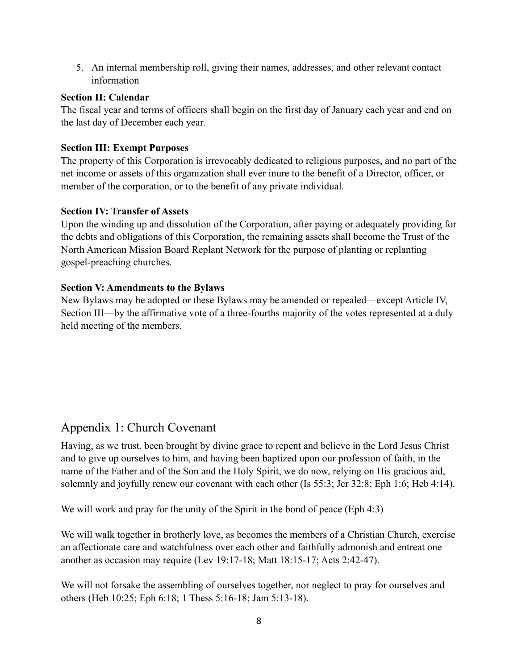5. An internal membership roll, giving their names, addresses, and other relevant contact information

#### **Section II: Calendar**

The fiscal year and terms of officers shall begin on the first day of January each year and end on the last day of December each year.

#### **Section III: Exempt Purposes**

The property of this Corporation is irrevocably dedicated to religious purposes, and no part of the net income or assets of this organization shall ever inure to the benefit of a Director, officer, or member of the corporation, or to the benefit of any private individual.

#### **Section IV: Transfer of Assets**

Upon the winding up and dissolution of the Corporation, after paying or adequately providing for the debts and obligations of this Corporation, the remaining assets shall become the Trust of the North American Mission Board Replant Network for the purpose of planting or replanting gospel-preaching churches.

#### **Section V: Amendments to the Bylaws**

New Bylaws may be adopted or these Bylaws may be amended or repealed—except Article IV, Section III—by the affirmative vote of a three-fourths majority of the votes represented at a duly held meeting of the members.

# Appendix 1: Church Covenant

Having, as we trust, been brought by divine grace to repent and believe in the Lord Jesus Christ and to give up ourselves to him, and having been baptized upon our profession of faith, in the name of the Father and of the Son and the Holy Spirit, we do now, relying on His gracious aid, solemnly and joyfully renew our covenant with each other (Is 55:3; Jer 32:8; Eph 1:6; Heb 4:14).

We will work and pray for the unity of the Spirit in the bond of peace (Eph 4:3)

We will walk together in brotherly love, as becomes the members of a Christian Church, exercise an affectionate care and watchfulness over each other and faithfully admonish and entreat one another as occasion may require (Lev 19:17-18; Matt 18:15-17; Acts 2:42-47).

We will not forsake the assembling of ourselves together, nor neglect to pray for ourselves and others (Heb 10:25; Eph 6:18; 1 Thess 5:16-18; Jam 5:13-18).